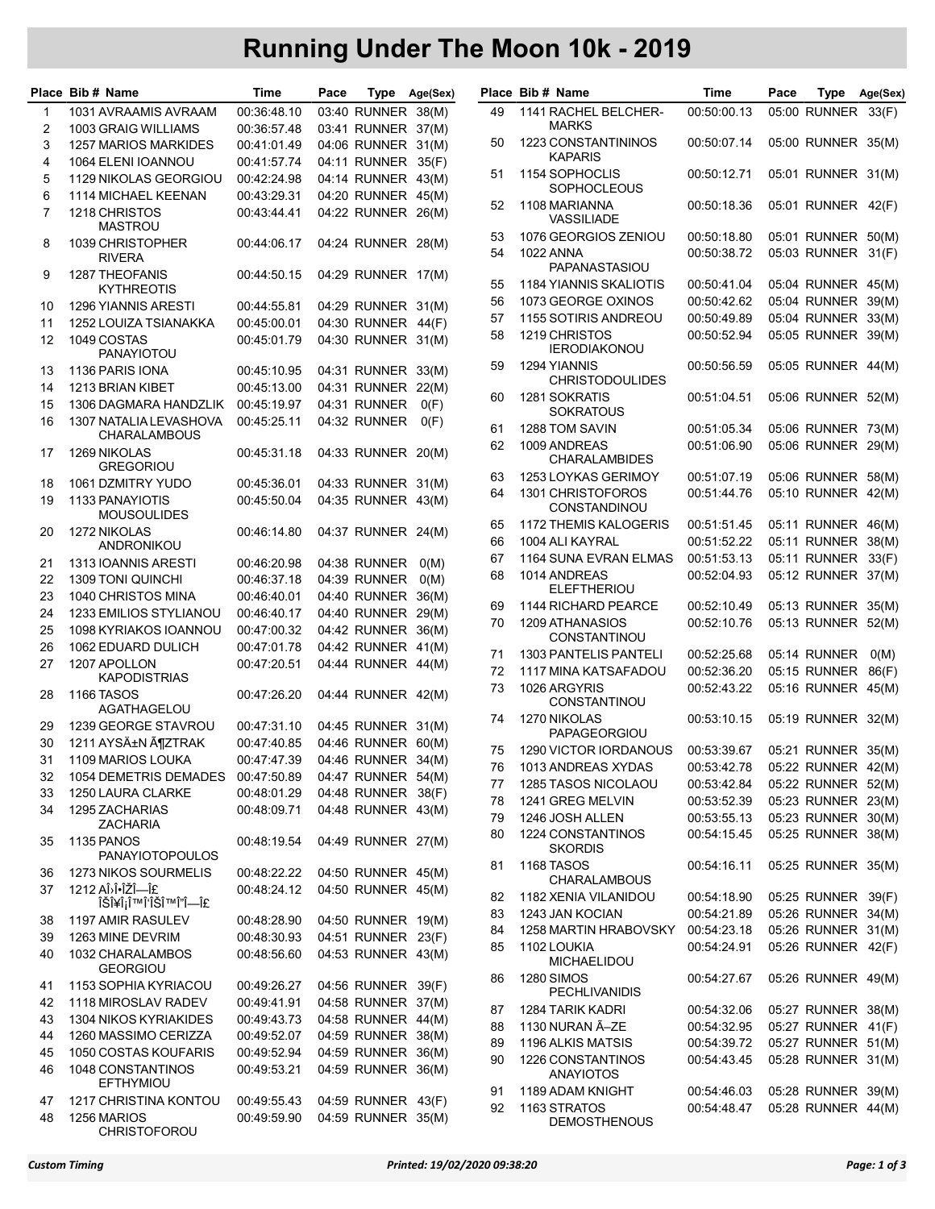## Running Under The Moon 10k - 2019

|        | Place Bib # Name                                   | Time                       | Pace |                                          | Type Age(Sex) |          | Place Bib # Name                         | Time                       | Pace | Type                                     | Age(Sex) |
|--------|----------------------------------------------------|----------------------------|------|------------------------------------------|---------------|----------|------------------------------------------|----------------------------|------|------------------------------------------|----------|
| 1      | 1031 AVRAAMIS AVRAAM                               | 00:36:48.10                |      | 03:40 RUNNER 38(M)                       |               | 49       | 1141 RACHEL BELCHER-                     | 00:50:00.13                |      | 05:00 RUNNER                             | 33(F)    |
| 2      | 1003 GRAIG WILLIAMS                                | 00:36:57.48                |      | 03:41 RUNNER 37(M)                       |               |          | <b>MARKS</b>                             |                            |      |                                          |          |
| 3      | 1257 MARIOS MARKIDES                               | 00:41:01.49                |      | 04:06 RUNNER 31(M)                       |               | 50       | 1223 CONSTANTININOS<br><b>KAPARIS</b>    | 00:50:07.14                |      | 05:00 RUNNER 35(M)                       |          |
| 4<br>5 | <b>1064 ELENI IOANNOU</b><br>1129 NIKOLAS GEORGIOU | 00:41:57.74<br>00:42:24.98 |      | 04:11 RUNNER 35(F)<br>04:14 RUNNER 43(M) |               | 51       | 1154 SOPHOCLIS                           | 00:50:12.71                |      | 05:01 RUNNER 31(M)                       |          |
| 6      | 1114 MICHAEL KEENAN                                | 00:43:29.31                |      | 04:20 RUNNER 45(M)                       |               |          | <b>SOPHOCLEOUS</b>                       |                            |      |                                          |          |
| 7      | 1218 CHRISTOS<br><b>MASTROU</b>                    | 00:43:44.41                |      | 04:22 RUNNER 26(M)                       |               | 52       | 1108 MARIANNA<br>VASSILIADE              | 00:50:18.36                |      | 05:01 RUNNER 42(F)                       |          |
| 8      | 1039 CHRISTOPHER                                   | 00:44:06.17                |      | 04:24 RUNNER 28(M)                       |               | 53       | 1076 GEORGIOS ZENIOU                     | 00:50:18.80                |      | 05:01 RUNNER 50(M)                       |          |
| 9      | <b>RIVERA</b><br><b>1287 THEOFANIS</b>             | 00:44:50.15                |      | 04:29 RUNNER 17(M)                       |               | 54       | <b>1022 ANNA</b><br>PAPANASTASIOU        | 00:50:38.72                |      | 05:03 RUNNER 31(F)                       |          |
|        | <b>KYTHREOTIS</b>                                  |                            |      |                                          |               | 55       | <b>1184 YIANNIS SKALIOTIS</b>            | 00:50:41.04                |      | 05:04 RUNNER 45(M)                       |          |
| 10     | <b>1296 YIANNIS ARESTI</b>                         | 00:44:55.81                |      | 04:29 RUNNER 31(M)                       |               | 56       | 1073 GEORGE OXINOS                       | 00:50:42.62                |      | 05:04 RUNNER 39(M)                       |          |
| 11     | 1252 LOUIZA TSIANAKKA                              | 00:45:00.01                |      | 04:30 RUNNER 44(F)                       |               | 57       | 1155 SOTIRIS ANDREOU                     | 00:50:49.89                |      | 05:04 RUNNER 33(M)                       |          |
| 12     | 1049 COSTAS<br><b>PANAYIOTOU</b>                   | 00:45:01.79                |      | 04:30 RUNNER 31(M)                       |               | 58       | 1219 CHRISTOS<br><b>IERODIAKONOU</b>     | 00:50:52.94                |      | 05:05 RUNNER 39(M)                       |          |
| 13     | 1136 PARIS IONA                                    | 00:45:10.95                |      | 04:31 RUNNER 33(M)                       |               | 59       | 1294 YIANNIS                             | 00:50:56.59                |      | 05:05 RUNNER 44(M)                       |          |
| 14     | 1213 BRIAN KIBET                                   | 00:45:13.00                |      | 04:31 RUNNER                             | 22(M)         |          | <b>CHRISTODOULIDES</b>                   |                            |      |                                          |          |
| 15     | 1306 DAGMARA HANDZLIK                              | 00:45:19.97                |      | 04:31 RUNNER                             | O(F)          | 60       | 1281 SOKRATIS                            | 00:51:04.51                |      | 05:06 RUNNER 52(M)                       |          |
| 16     | 1307 NATALIA LEVASHOVA                             | 00:45:25.11                |      | 04:32 RUNNER                             | O(F)          |          | <b>SOKRATOUS</b>                         |                            |      |                                          |          |
|        | <b>CHARALAMBOUS</b>                                |                            |      |                                          |               | 61<br>62 | 1288 TOM SAVIN<br>1009 ANDREAS           | 00:51:05.34<br>00:51:06.90 |      | 05:06 RUNNER 73(M)<br>05:06 RUNNER 29(M) |          |
| 17     | 1269 NIKOLAS<br><b>GREGORIOU</b>                   | 00:45:31.18                |      | 04:33 RUNNER 20(M)                       |               |          | <b>CHARALAMBIDES</b>                     |                            |      |                                          |          |
| 18     | 1061 DZMITRY YUDO                                  | 00:45:36.01                |      | 04:33 RUNNER 31(M)                       |               | 63       | 1253 LOYKAS GERIMOY                      | 00:51:07.19                |      | 05:06 RUNNER 58(M)                       |          |
| 19     | 1133 PANAYIOTIS<br><b>MOUSOULIDES</b>              | 00:45:50.04                |      | 04:35 RUNNER 43(M)                       |               | 64       | 1301 CHRISTOFOROS<br>CONSTANDINOU        | 00:51:44.76                |      | 05:10 RUNNER 42(M)                       |          |
| 20     | 1272 NIKOLAS                                       | 00:46:14.80                |      | 04:37 RUNNER 24(M)                       |               | 65       | <b>1172 THEMIS KALOGERIS</b>             | 00:51:51.45                |      | 05:11 RUNNER 46(M)                       |          |
|        | ANDRONIKOU                                         |                            |      |                                          |               | 66       | 1004 ALI KAYRAL                          | 00:51:52.22                |      | 05:11 RUNNER 38(M)                       |          |
| 21     | 1313 IOANNIS ARESTI                                | 00:46:20.98                |      | 04:38 RUNNER                             | O(M)          | 67       | 1164 SUNA EVRAN ELMAS                    | 00:51:53.13                |      | 05:11 RUNNER                             | 33(F)    |
| 22     | 1309 TONI QUINCHI                                  | 00:46:37.18                |      | 04:39 RUNNER                             | O(M)          | 68       | 1014 ANDREAS                             | 00:52:04.93                |      | 05:12 RUNNER 37(M)                       |          |
| 23     | 1040 CHRISTOS MINA                                 | 00:46:40.01                |      | 04:40 RUNNER 36(M)                       |               |          | <b>ELEFTHERIOU</b>                       |                            |      |                                          |          |
| 24     | <b>1233 EMILIOS STYLIANOU</b>                      | 00:46:40.17                |      | 04:40 RUNNER 29(M)                       |               | 69<br>70 | 1144 RICHARD PEARCE<br>1209 ATHANASIOS   | 00:52:10.49                |      | 05:13 RUNNER 35(M)<br>05:13 RUNNER 52(M) |          |
| 25     | 1098 KYRIAKOS IOANNOU                              | 00:47:00.32                |      | 04:42 RUNNER                             | 36(M)         |          | CONSTANTINOU                             | 00:52:10.76                |      |                                          |          |
| 26     | 1062 EDUARD DULICH                                 | 00:47:01.78                |      | 04:42 RUNNER 41(M)                       |               | 71       | <b>1303 PANTELIS PANTELI</b>             | 00:52:25.68                |      | 05:14 RUNNER                             | O(M)     |
| 27     | 1207 APOLLON                                       | 00:47:20.51                |      | 04:44 RUNNER 44(M)                       |               | 72       | 1117 MINA KATSAFADOU                     | 00:52:36.20                |      | 05:15 RUNNER                             | 86(F)    |
|        | <b>KAPODISTRIAS</b>                                |                            |      |                                          |               | 73       | 1026 ARGYRIS                             | 00:52:43.22                |      | 05:16 RUNNER 45(M)                       |          |
| 28     | <b>1166 TASOS</b><br>AGATHAGELOU                   | 00:47:26.20                |      | 04:44 RUNNER 42(M)                       |               |          | CONSTANTINOU                             |                            |      |                                          |          |
| 29     | 1239 GEORGE STAVROU                                | 00:47:31.10                |      | 04:45 RUNNER 31(M)                       |               | 74       | 1270 NIKOLAS<br><b>PAPAGEORGIOU</b>      | 00:53:10.15                |      | 05:19 RUNNER 32(M)                       |          |
| 30     | 1211 AYSıN ĶZTRAK                                  | 00:47:40.85                |      | 04:46 RUNNER 60(M)                       |               | 75       | 1290 VICTOR IORDANOUS                    | 00:53:39.67                |      | 05:21 RUNNER 35(M)                       |          |
| 31     | 1109 MARIOS LOUKA                                  | 00:47:47.39                |      | 04:46 RUNNER 34(M)                       |               | 76       | 1013 ANDREAS XYDAS                       | 00:53:42.78                |      | 05:22 RUNNER 42(M)                       |          |
| 32     | 1054 DEMETRIS DEMADES                              | 00:47:50.89                |      | 04:47 RUNNER 54(M)                       |               | 77       | 1285 TASOS NICOLAOU                      | 00:53:42.84                |      | 05:22 RUNNER 52(M)                       |          |
| 33     | 1250 LAURA CLARKE                                  | 00:48:01.29                |      | 04:48 RUNNER 38(F)                       |               | 78       | 1241 GREG MELVIN                         | 00:53:52.39                |      | 05:23 RUNNER 23(M)                       |          |
| 34     | 1295 ZACHARIAS                                     | 00:48:09.71                |      | 04:48 RUNNER 43(M)                       |               | 79       | 1246 JOSH ALLEN                          | 00:53:55.13                |      | 05:23 RUNNER 30(M)                       |          |
|        | <b>ZACHARIA</b>                                    |                            |      |                                          |               | 80       | <b>1224 CONSTANTINOS</b>                 | 00:54:15.45                |      | 05:25 RUNNER 38(M)                       |          |
| 35     | 1135 PANOS<br><b>PANAYIOTOPOULOS</b>               | 00:48:19.54                |      | 04:49 RUNNER 27(M)                       |               |          | <b>SKORDIS</b>                           |                            |      |                                          |          |
| 36     | 1273 NIKOS SOURMELIS                               | 00:48:22.22                |      | 04:50 RUNNER 45(M)                       |               | 81       | <b>1168 TASOS</b><br><b>CHARALAMBOUS</b> | 00:54:16.11                |      | 05:25 RUNNER 35(M)                       |          |
| 37     | 1212 AΛΕΎΗΣ<br>ΊΥΡΙΑΊΙΔΗΣ                          | 00:48:24.12                |      | 04:50 RUNNER 45(M)                       |               | 82       | 1182 XENIA VILANIDOU                     | 00:54:18.90                |      | 05:25 RUNNER 39(F)                       |          |
| 38     | 1197 AMIR RASULEV                                  | 00:48:28.90                |      | 04:50 RUNNER 19(M)                       |               | 83       | 1243 JAN KOCIAN                          | 00:54:21.89                |      | 05:26 RUNNER 34(M)                       |          |
| 39     | 1263 MINE DEVRIM                                   | 00:48:30.93                |      | 04:51 RUNNER 23(F)                       |               | 84       | 1258 MARTIN HRABOVSKY                    | 00:54:23.18                |      | 05:26 RUNNER 31(M)                       |          |
| 40     | 1032 CHARALAMBOS<br><b>GEORGIOU</b>                | 00:48:56.60                |      | 04:53 RUNNER 43(M)                       |               | 85       | 1102 LOUKIA<br>MICHAELIDOU               | 00:54:24.91                |      | 05:26 RUNNER 42(F)                       |          |
| 41     | 1153 SOPHIA KYRIACOU                               | 00:49:26.27                |      | 04:56 RUNNER 39(F)                       |               | 86       | <b>1280 SIMOS</b>                        | 00:54:27.67                |      | 05:26 RUNNER 49(M)                       |          |
| 42     | 1118 MIROSLAV RADEV                                | 00:49:41.91                |      | 04:58 RUNNER 37(M)                       |               |          | <b>PECHLIVANIDIS</b>                     |                            |      |                                          |          |
| 43     | 1304 NIKOS KYRIAKIDES                              | 00:49:43.73                |      | 04:58 RUNNER 44(M)                       |               | 87       | 1284 TARIK KADRI                         | 00:54:32.06                |      | 05:27 RUNNER 38(M)                       |          |
| 44     | 1260 MASSIMO CERIZZA                               | 00:49:52.07                |      | 04:59 RUNNER 38(M)                       |               | 88       | 1130 NURAN Ã-ZE                          | 00:54:32.95                |      | 05:27 RUNNER 41(F)                       |          |
| 45     | 1050 COSTAS KOUFARIS                               | 00:49:52.94                |      | 04:59 RUNNER 36(M)                       |               | 89       | 1196 ALKIS MATSIS                        | 00:54:39.72                |      | 05:27 RUNNER 51(M)                       |          |
| 46     | 1048 CONSTANTINOS<br><b>EFTHYMIOU</b>              | 00:49:53.21                |      | 04:59 RUNNER 36(M)                       |               | 90       | 1226 CONSTANTINOS<br><b>ANAYIOTOS</b>    | 00:54:43.45                |      | 05:28 RUNNER 31(M)                       |          |
| 47     | 1217 CHRISTINA KONTOU                              | 00:49:55.43                |      | 04:59 RUNNER 43(F)                       |               | 91       | 1189 ADAM KNIGHT                         | 00:54:46.03                |      | 05:28 RUNNER 39(M)                       |          |
| 48     | 1256 MARIOS<br><b>CHRISTOFOROU</b>                 | 00:49:59.90                |      | 04:59 RUNNER 35(M)                       |               | 92       | 1163 STRATOS<br><b>DEMOSTHENOUS</b>      | 00:54:48.47                |      | 05:28 RUNNER 44(M)                       |          |

| Place    | Bib # Name                                   | Time                       | Pace | Type                         | Age(Sex)       |
|----------|----------------------------------------------|----------------------------|------|------------------------------|----------------|
| 49       | 1141 RACHEL BELCHER-<br><b>MARKS</b>         | 00:50:00.13                |      | 05:00 RUNNER                 | 33(F)          |
| 50       | 1223 CONSTANTININOS<br><b>KAPARIS</b>        | 00:50:07.14                |      | 05:00 RUNNER                 | 35(M)          |
| 51       | 1154 SOPHOCLIS<br>SOPHOCLEOUS                | 00:50:12.71                |      | 05:01 RUNNER                 | 31(M)          |
| 52       | 1108 MARIANNA<br><b>VASSILIADE</b>           | 00:50:18.36                |      | 05:01 RUNNER                 | 42(F)          |
| 53       | 1076 GEORGIOS ZENIOU                         | 00:50:18.80                |      | 05:01 RUNNER                 | 50(M)          |
| 54       | <b>1022 ANNA</b><br><b>PAPANASTASIOU</b>     | 00:50:38.72                |      | 05:03 RUNNER                 | 31(F)          |
| 55       | 1184 YIANNIS SKALIOTIS                       | 00:50:41.04                |      | 05:04 RUNNER                 | 45(M)          |
| 56       | 1073 GEORGE OXINOS                           | 00:50:42.62                |      | 05:04 RUNNER                 | 39(M)          |
| 57       | 1155 SOTIRIS ANDREOU                         | 00:50:49.89                |      | 05:04 RUNNER                 | 33(M)          |
| 58       | 1219 CHRISTOS<br><b>IERODIAKONOU</b>         | 00:50:52.94                |      | 05:05 RUNNER                 | 39(M)          |
| 59       | 1294 YIANNIS<br><b>CHRISTODOULIDES</b>       | 00:50:56.59                |      | 05:05 RUNNER                 | 44(M)          |
| 60       | 1281 SOKRATIS<br><b>SOKRATOUS</b>            | 00:51:04.51                |      | 05:06 RUNNER                 | 52(M)          |
| 61       | 1288 TOM SAVIN                               | 00:51:05.34                |      | 05:06 RUNNER                 | 73(M)          |
| 62       | 1009 ANDREAS<br><b>CHARALAMBIDES</b>         | 00:51:06.90                |      | 05:06 RUNNER                 | 29(M)          |
| 63       | 1253 LOYKAS GERIMOY<br>1301 CHRISTOFOROS     | 00:51:07.19                |      | 05:06 RUNNER                 | 58(M)          |
| 64       | CONSTANDINOU                                 | 00:51:44.76                |      | 05:10 RUNNER                 | 42(M)          |
| 65       | 1172 THEMIS KALOGERIS<br>1004 ALI KAYRAL     | 00:51:51.45                |      | 05:11 RUNNER                 | 46(M)          |
| 66<br>67 | 1164 SUNA EVRAN ELMAS                        | 00:51:52.22<br>00:51:53.13 |      | 05:11 RUNNER<br>05:11 RUNNER | 38(M)<br>33(F) |
| 68       | 1014 ANDREAS                                 | 00:52:04.93                |      | 05:12 RUNNER                 | 37(M)          |
| 69       | <b>ELEFTHERIOU</b><br>1144 RICHARD PEARCE    | 00:52:10.49                |      | 05:13 RUNNER                 | 35(M)          |
| 70       | <b>1209 ATHANASIOS</b>                       | 00:52:10.76                |      | 05:13 RUNNER                 | 52(M)          |
| 71       | CONSTANTINOU<br><b>1303 PANTELIS PANTELI</b> | 00:52:25.68                |      | 05:14 RUNNER                 | O(M)           |
| 72       | 1117 MINA KATSAFADOU                         | 00:52:36.20                |      | 05:15 RUNNER                 | 86(F)          |
| 73       | 1026 ARGYRIS<br>CONSTANTINOU                 | 00:52:43.22                |      | 05:16 RUNNER                 | 45(M)          |
| 74       | 1270 NIKOLAS<br><b>PAPAGEORGIOU</b>          | 00:53:10.15                |      | 05:19 RUNNER                 | 32(M)          |
| 75       | 1290 VICTOR IORDANOUS                        | 00:53:39.67                |      | 05:21 RUNNER                 | 35(M)          |
| 76       | 1013 ANDREAS XYDAS                           | 00:53:42.78                |      | 05:22 RUNNER                 | 42(M)          |
| 77       | <b>1285 TASOS NICOLAOU</b>                   | 00:53:42.84                |      | 05:22 RUNNER                 | 52(M)          |
| 78       | 1241 GREG MELVIN                             | 00:53:52.39                |      | 05:23 RUNNER                 | 23(M)          |
| 79       | 1246 JOSH ALLEN                              | 00:53:55.13                |      | 05:23 RUNNER                 | 30(M)          |
| 80       | 1224 CONSTANTINOS<br><b>SKORDIS</b>          | 00:54:15.45                |      | 05:25 RUNNER                 | 38(M)          |
| 81       | <b>1168 TASOS</b><br><b>CHARALAMBOUS</b>     | 00:54:16.11                |      | 05:25 RUNNER                 | 35(M)          |
| 82       | 1182 XENIA VILANIDOU                         | 00:54:18.90                |      | 05:25 RUNNER                 | 39(F)          |
| 83       | 1243 JAN KOCIAN                              | 00:54:21.89                |      | 05:26 RUNNER                 | 34(M)          |
| 84       | 1258 MARTIN HRABOVSKY                        | 00:54:23.18                |      | 05:26 RUNNER                 | 31(M)          |
| 85       | 1102 LOUKIA<br><b>MICHAELIDOU</b>            | 00:54:24.91                |      | 05:26 RUNNER                 | 42(F)          |
| 86       | <b>1280 SIMOS</b><br><b>PECHLIVANIDIS</b>    | 00:54:27.67                |      | 05:26 RUNNER                 | 49(M)          |
| 87       | 1284 TARIK KADRI                             | 00:54:32.06                |      | 05:27 RUNNER                 | 38(M)          |
| 88       | 1130 NURAN Ã-ZE                              | 00:54:32.95                |      | 05:27 RUNNER                 | 41(F)          |
| 89       | 1196 ALKIS MATSIS                            | 00:54:39.72                |      | 05:27 RUNNER                 | 51(M)          |
| 90       | 1226 CONSTANTINOS<br><b>ANAYIOTOS</b>        | 00:54:43.45                |      | 05:28 RUNNER                 | 31(M)          |
| 91       | 1189 ADAM KNIGHT<br>1163 STRATOS             | 00:54:46.03                |      | 05:28 RUNNER                 | 39(M)          |
| 92       | <b>DEMOSTHENOUS</b>                          | 00:54:48.47                |      | 05:28 RUNNER                 | 44(M)          |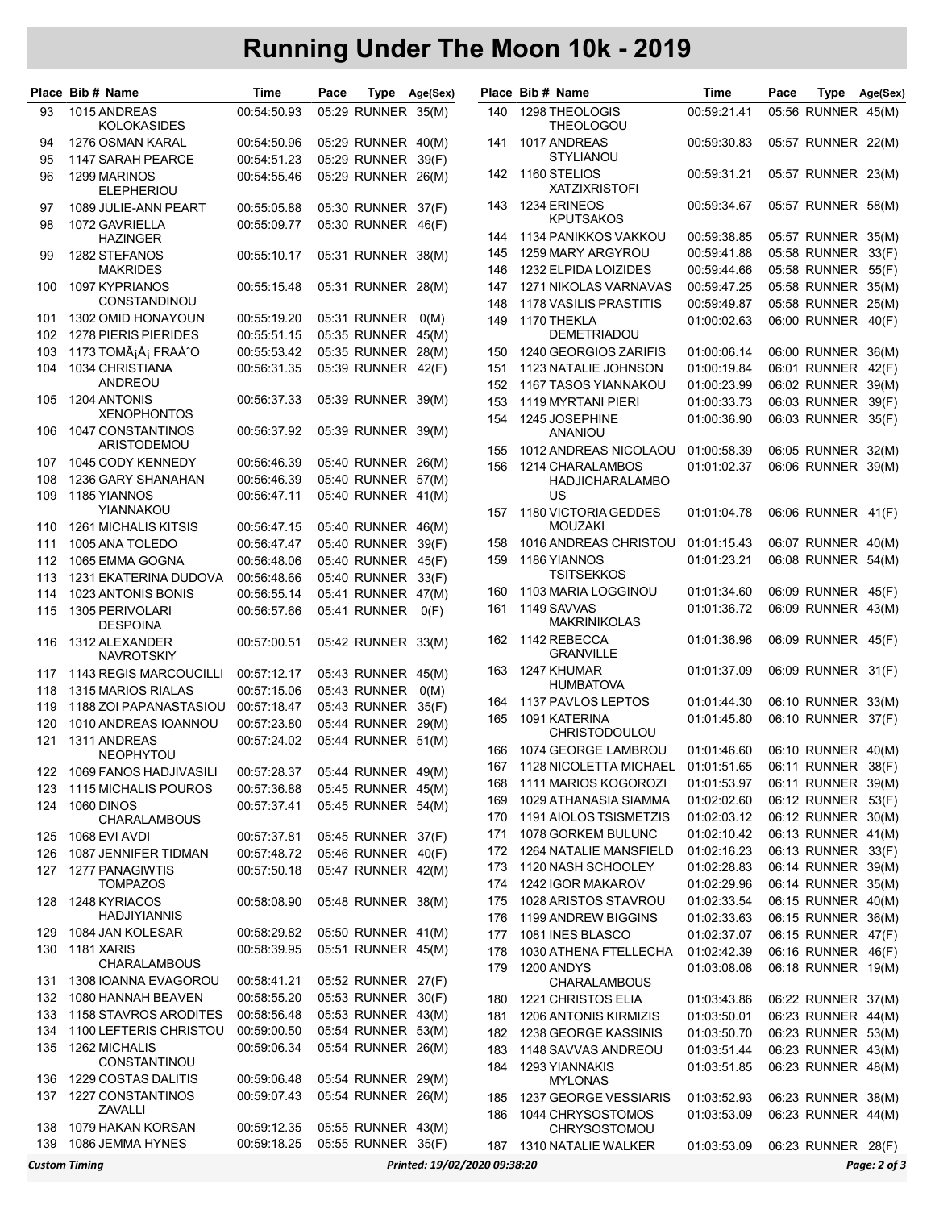## Running Under The Moon 10k - 2019

|            | Place Bib # Name                                                     | Time                       | Pace |                                          | Type Age(Sex) |            | Place Bib # Name                            | Time                       | Pace | Type                                     | Age(Sex) |
|------------|----------------------------------------------------------------------|----------------------------|------|------------------------------------------|---------------|------------|---------------------------------------------|----------------------------|------|------------------------------------------|----------|
| 93         | 1015 ANDREAS<br><b>KOLOKASIDES</b>                                   | 00:54:50.93                |      | 05:29 RUNNER 35(M)                       |               | 140        | 1298 THEOLOGIS<br><b>THEOLOGOU</b>          | 00:59:21.41                |      | 05:56 RUNNER 45(M)                       |          |
| 94<br>95   | 1276 OSMAN KARAL<br>1147 SARAH PEARCE                                | 00:54:50.96<br>00:54:51.23 |      | 05:29 RUNNER 40(M)<br>05:29 RUNNER       | 39(F)         | 141        | 1017 ANDREAS<br><b>STYLIANOU</b>            | 00:59:30.83                |      | 05:57 RUNNER 22(M)                       |          |
| 96         | 1299 MARINOS<br><b>ELEPHERIOU</b>                                    | 00:54:55.46                |      | 05:29 RUNNER 26(M)                       |               | 142        | 1160 STELIOS<br><b>XATZIXRISTOFI</b>        | 00:59:31.21                |      | 05:57 RUNNER 23(M)                       |          |
| 97         | 1089 JULIE-ANN PEART                                                 | 00:55:05.88                |      | 05:30 RUNNER 37(F)                       |               | 143        | 1234 ERINEOS<br><b>KPUTSAKOS</b>            | 00:59:34.67                |      | 05:57 RUNNER 58(M)                       |          |
| 98         | 1072 GAVRIELLA<br><b>HAZINGER</b>                                    | 00:55:09.77                |      | 05:30 RUNNER                             | 46(F)         | 144        | 1134 PANIKKOS VAKKOU                        | 00:59:38.85                |      | 05:57 RUNNER 35(M)                       |          |
| 99         | 1282 STEFANOS                                                        | 00:55:10.17                |      | 05:31 RUNNER 38(M)                       |               | 145        | 1259 MARY ARGYROU                           | 00:59:41.88                |      | 05:58 RUNNER 33(F)                       |          |
|            | <b>MAKRIDES</b>                                                      |                            |      |                                          |               | 146        | 1232 ELPIDA LOIZIDES                        | 00:59:44.66                |      | 05:58 RUNNER 55(F)                       |          |
| 100        | 1097 KYPRIANOS                                                       | 00:55:15.48                |      | 05:31 RUNNER 28(M)                       |               | 147        | 1271 NIKOLAS VARNAVAS                       | 00:59:47.25                |      | 05:58 RUNNER 35(M)                       |          |
|            | CONSTANDINOU                                                         |                            |      |                                          |               | 148        | <b>1178 VASILIS PRASTITIS</b>               | 00:59:49.87                |      | 05:58 RUNNER 25(M)                       |          |
| 101        | 1302 OMID HONAYOUN                                                   | 00:55:19.20                |      | 05:31 RUNNER                             | O(M)          | 149        | 1170 THEKLA                                 | 01:00:02.63                |      | 06:00 RUNNER 40(F)                       |          |
| 102        | 1278 PIERIS PIERIDES                                                 | 00:55:51.15                |      | 05:35 RUNNER 45(M)                       |               |            | <b>DEMETRIADOU</b>                          |                            |      |                                          |          |
| 103        | 1173 TOMáš FRAÅ^O                                                    | 00:55:53.42                |      | 05:35 RUNNER 28(M)                       |               | 150        | 1240 GEORGIOS ZARIFIS                       | 01:00:06.14                |      | 06:00 RUNNER 36(M)                       |          |
| 104        | 1034 CHRISTIANA<br><b>ANDREOU</b>                                    | 00:56:31.35                |      | 05:39 RUNNER 42(F)                       |               | 151        | 1123 NATALIE JOHNSON                        | 01:00:19.84                |      | 06:01 RUNNER 42(F)                       |          |
| 105        | 1204 ANTONIS                                                         | 00:56:37.33                |      | 05:39 RUNNER 39(M)                       |               | 152        | 1167 TASOS YIANNAKOU                        | 01:00:23.99                |      | 06:02 RUNNER 39(M)                       |          |
|            | <b>XENOPHONTOS</b>                                                   |                            |      |                                          |               | 153        | 1119 MYRTANI PIERI                          | 01:00:33.73                |      | 06:03 RUNNER 39(F)<br>06:03 RUNNER 35(F) |          |
| 106        | <b>1047 CONSTANTINOS</b><br><b>ARISTODEMOU</b>                       | 00:56:37.92                |      | 05:39 RUNNER 39(M)                       |               | 154        | 1245 JOSEPHINE<br><b>ANANIOU</b>            | 01:00:36.90                |      |                                          |          |
| 107        | 1045 CODY KENNEDY                                                    | 00:56:46.39                |      | 05:40 RUNNER 26(M)                       |               | 155        | 1012 ANDREAS NICOLAOU                       | 01:00:58.39                |      | 06:05 RUNNER 32(M)                       |          |
| 108        | 1236 GARY SHANAHAN                                                   | 00:56:46.39                |      | 05:40 RUNNER 57(M)                       |               | 156        | 1214 CHARALAMBOS<br>HADJICHARALAMBO         | 01:01:02.37                |      | 06:06 RUNNER 39(M)                       |          |
| 109        | 1185 YIANNOS                                                         | 00:56:47.11                |      | 05:40 RUNNER 41(M)                       |               |            | US                                          |                            |      |                                          |          |
|            | YIANNAKOU                                                            |                            |      |                                          |               | 157        | 1180 VICTORIA GEDDES                        | 01:01:04.78                |      | 06:06 RUNNER 41(F)                       |          |
| 110        | <b>1261 MICHALIS KITSIS</b>                                          | 00:56:47.15                |      | 05:40 RUNNER 46(M)                       |               |            | <b>MOUZAKI</b>                              |                            |      |                                          |          |
| 111        | 1005 ANA TOLEDO                                                      | 00:56:47.47                |      | 05:40 RUNNER                             | 39(F)         | 158        | 1016 ANDREAS CHRISTOU                       | 01:01:15.43                |      | 06:07 RUNNER 40(M)                       |          |
| 112        | 1065 EMMA GOGNA                                                      | 00:56:48.06                |      | 05:40 RUNNER 45(F)                       |               | 159        | 1186 YIANNOS                                | 01:01:23.21                |      | 06:08 RUNNER 54(M)                       |          |
| 113        | 1231 EKATERINA DUDOVA                                                | 00:56:48.66                |      | 05:40 RUNNER                             | 33(F)         |            | TSITSEKKOS                                  |                            |      |                                          |          |
| 114        | 1023 ANTONIS BONIS                                                   | 00:56:55.14                |      | 05:41 RUNNER 47(M)                       |               | 160        | 1103 MARIA LOGGINOU                         | 01:01:34.60                |      | 06:09 RUNNER 45(F)                       |          |
| 115        | 1305 PERIVOLARI<br><b>DESPOINA</b>                                   | 00:56:57.66                |      | 05:41 RUNNER                             | O(F)          | 161        | 1149 SAVVAS<br><b>MAKRINIKOLAS</b>          | 01:01:36.72                |      | 06:09 RUNNER 43(M)                       |          |
| 116        | 1312 ALEXANDER<br><b>NAVROTSKIY</b>                                  | 00:57:00.51                |      | 05:42 RUNNER 33(M)                       |               | 162        | 1142 REBECCA<br><b>GRANVILLE</b>            | 01:01:36.96                |      | 06:09 RUNNER 45(F)                       |          |
| 117        | 1143 REGIS MARCOUCILLI                                               | 00:57:12.17                |      | 05:43 RUNNER 45(M)                       |               | 163        | 1247 KHUMAR                                 | 01:01:37.09                |      | 06:09 RUNNER 31(F)                       |          |
| 118        | 1315 MARIOS RIALAS                                                   | 00:57:15.06                |      | 05:43 RUNNER                             | O(M)          |            | <b>HUMBATOVA</b>                            |                            |      |                                          |          |
| 119        | 1188 ZOI PAPANASTASIOU                                               | 00:57:18.47                |      | 05:43 RUNNER 35(F)                       |               | 164        | 1137 PAVLOS LEPTOS                          | 01:01:44.30                |      | 06:10 RUNNER 33(M)                       |          |
| 120        | 1010 ANDREAS IOANNOU                                                 | 00:57:23.80                |      | 05:44 RUNNER 29(M)                       |               | 165        | 1091 KATERINA<br><b>CHRISTODOULOU</b>       | 01:01:45.80                |      | 06:10 RUNNER 37(F)                       |          |
| 121        | 1311 ANDREAS                                                         | 00:57:24.02                |      | 05:44 RUNNER 51(M)                       |               |            | 166 1074 GEORGE LAMBROU                     | 01:01:46.60                |      | 06:10 RUNNER 40(M)                       |          |
|            | <b>NEOPHYTOU</b>                                                     |                            |      |                                          |               | 167        | 1128 NICOLETTA MICHAEL                      | 01:01:51.65                |      | 06:11 RUNNER 38(F)                       |          |
| 122        | 1069 FANOS HADJIVASILI                                               | 00:57:28.37                |      | 05:44 RUNNER 49(M)                       |               | 168        | 1111 MARIOS KOGOROZI                        | 01:01:53.97                |      | 06:11 RUNNER 39(M)                       |          |
| 123<br>124 | 1115 MICHALIS POUROS<br>1060 DINOS                                   | 00:57:36.88<br>00:57:37.41 |      | 05:45 RUNNER 45(M)<br>05:45 RUNNER 54(M) |               | 169        | 1029 ATHANASIA SIAMMA                       | 01:02:02.60                |      | 06:12 RUNNER 53(F)                       |          |
|            | <b>CHARALAMBOUS</b>                                                  |                            |      |                                          |               | 170        | 1191 AIOLOS TSISMETZIS                      | 01:02:03.12                |      | 06:12 RUNNER 30(M)                       |          |
| 125        | 1068 EVI AVDI                                                        | 00:57:37.81                |      | 05:45 RUNNER 37(F)                       |               | 171        | 1078 GORKEM BULUNC                          | 01:02:10.42                |      | 06:13 RUNNER 41(M)                       |          |
| 126        | 1087 JENNIFER TIDMAN                                                 | 00:57:48.72                |      | 05:46 RUNNER 40(F)                       |               | 172        | 1264 NATALIE MANSFIELD                      | 01:02:16.23                |      | 06:13 RUNNER 33(F)                       |          |
| 127        | 1277 PANAGIWTIS                                                      | 00:57:50.18                |      | 05:47 RUNNER 42(M)                       |               | 173        | 1120 NASH SCHOOLEY                          | 01:02:28.83                |      | 06:14 RUNNER 39(M)                       |          |
|            | <b>TOMPAZOS</b>                                                      |                            |      |                                          |               | 174        | 1242 IGOR MAKAROV                           | 01:02:29.96                |      | 06:14 RUNNER 35(M)                       |          |
| 128        | 1248 KYRIACOS                                                        | 00:58:08.90                |      | 05:48 RUNNER 38(M)                       |               | 175        | 1028 ARISTOS STAVROU                        | 01:02:33.54                |      | 06:15 RUNNER 40(M)                       |          |
|            | <b>HADJIYIANNIS</b>                                                  |                            |      |                                          |               | 176        | 1199 ANDREW BIGGINS                         | 01:02:33.63                |      | 06:15 RUNNER 36(M)                       |          |
| 129        | 1084 JAN KOLESAR                                                     | 00:58:29.82                |      | 05:50 RUNNER 41(M)                       |               | 177        | 1081 INES BLASCO                            | 01:02:37.07                |      | 06:15 RUNNER 47(F)                       |          |
| 130        | 1181 XARIS<br><b>CHARALAMBOUS</b>                                    | 00:58:39.95                |      | 05:51 RUNNER 45(M)                       |               | 178        | 1030 ATHENA FTELLECHA                       | 01:02:42.39                |      | 06:16 RUNNER 46(F)                       |          |
| 131        | 1308 IOANNA EVAGOROU                                                 | 00:58:41.21                |      | 05:52 RUNNER 27(F)                       |               | 179        | 1200 ANDYS                                  | 01:03:08.08                |      | 06:18 RUNNER 19(M)                       |          |
| 132        | 1080 HANNAH BEAVEN                                                   | 00:58:55.20                |      | 05:53 RUNNER 30(F)                       |               |            | <b>CHARALAMBOUS</b>                         |                            |      |                                          |          |
| 133        | 1158 STAVROS ARODITES                                                | 00:58:56.48                |      | 05:53 RUNNER 43(M)                       |               | 180<br>181 | 1221 CHRISTOS ELIA<br>1206 ANTONIS KIRMIZIS | 01:03:43.86<br>01:03:50.01 |      | 06:22 RUNNER 37(M)<br>06:23 RUNNER 44(M) |          |
| 134        | 1100 LEFTERIS CHRISTOU                                               | 00:59:00.50                |      | 05:54 RUNNER 53(M)                       |               | 182        | 1238 GEORGE KASSINIS                        | 01:03:50.70                |      | 06:23 RUNNER 53(M)                       |          |
| 135        | 1262 MICHALIS                                                        | 00:59:06.34                |      | 05:54 RUNNER 26(M)                       |               | 183        | 1148 SAVVAS ANDREOU                         | 01:03:51.44                |      | 06:23 RUNNER 43(M)                       |          |
|            | <b>CONSTANTINOU</b>                                                  |                            |      |                                          |               | 184        | 1293 YIANNAKIS                              | 01:03:51.85                |      | 06:23 RUNNER 48(M)                       |          |
| 136<br>137 | 1229 COSTAS DALITIS<br>1227 CONSTANTINOS                             | 00:59:06.48<br>00:59:07.43 |      | 05:54 RUNNER 29(M)<br>05:54 RUNNER 26(M) |               |            | <b>MYLONAS</b>                              |                            |      |                                          |          |
|            | ZAVALLI                                                              |                            |      |                                          |               | 185<br>186 | 1237 GEORGE VESSIARIS<br>1044 CHRYSOSTOMOS  | 01:03:52.93<br>01:03:53.09 |      | 06:23 RUNNER 38(M)<br>06:23 RUNNER 44(M) |          |
| 138<br>139 | 1079 HAKAN KORSAN<br>1086 JEMMA HYNES                                | 00:59:12.35<br>00:59:18.25 |      | 05:55 RUNNER 43(M)<br>05:55 RUNNER 35(F) |               |            | <b>CHRYSOSTOMOU</b>                         |                            |      |                                          |          |
|            |                                                                      |                            |      |                                          |               |            | 187 1310 NATALIE WALKER                     | 01:03:53.09                |      | 06:23 RUNNER 28(F)                       |          |
|            | <b>Custom Timing</b><br>Printed: 19/02/2020 09:38:20<br>Page: 2 of 3 |                            |      |                                          |               |            |                                             |                            |      |                                          |          |